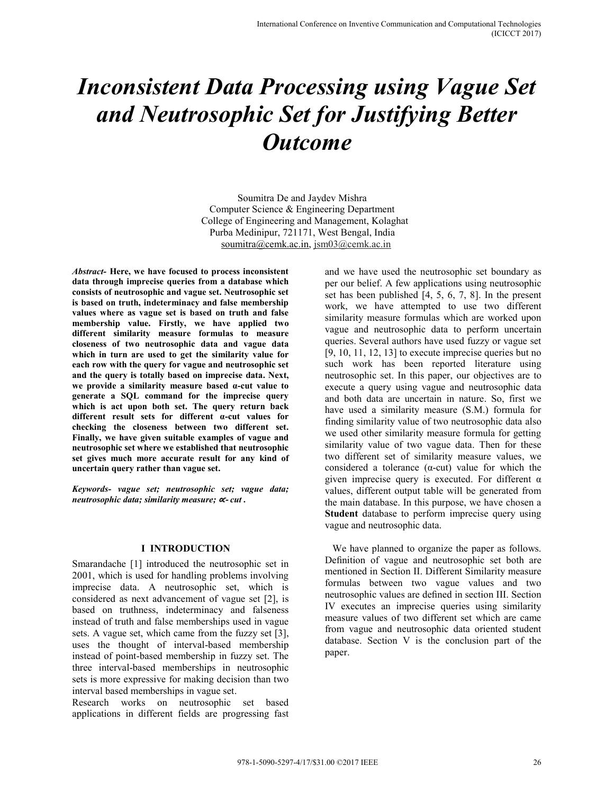# *Inconsistent Data Processing using Vague Set and Neutrosophic Set for Justifying Better Outcome*

Soumitra De and Jaydev Mishra Computer Science & Engineering Department College of Engineering and Management, Kolaghat Purba Medinipur, 721171, West Bengal, India soumitra@cemk.ac.in, jsm03@cemk.ac.in

*Abstract-* **Here, we have focused to process inconsistent data through imprecise queries from a database which consists of neutrosophic and vague set. Neutrosophic set is based on truth, indeterminacy and false membership values where as vague set is based on truth and false membership value. Firstly, we have applied two different similarity measure formulas to measure closeness of two neutrosophic data and vague data which in turn are used to get the similarity value for each row with the query for vague and neutrosophic set and the query is totally based on imprecise data. Next, we provide a similarity measure based α-cut value to generate a SQL command for the imprecise query which is act upon both set. The query return back different result sets for different α-cut values for checking the closeness between two different set. Finally, we have given suitable examples of vague and neutrosophic set where we established that neutrosophic set gives much more accurate result for any kind of uncertain query rather than vague set.** 

*Keywords- vague set; neutrosophic set; vague data; neutrosophic data; similarity measure;* ∝- *cut .* 

#### **I INTRODUCTION**

Smarandache [1] introduced the neutrosophic set in 2001, which is used for handling problems involving imprecise data. A neutrosophic set, which is considered as next advancement of vague set [2], is based on truthness, indeterminacy and falseness instead of truth and false memberships used in vague sets. A vague set, which came from the fuzzy set [3], uses the thought of interval-based membership instead of point-based membership in fuzzy set. The three interval-based memberships in neutrosophic sets is more expressive for making decision than two interval based memberships in vague set.

Research works on neutrosophic set based applications in different fields are progressing fast and we have used the neutrosophic set boundary as per our belief. A few applications using neutrosophic set has been published [4, 5, 6, 7, 8]. In the present work, we have attempted to use two different similarity measure formulas which are worked upon vague and neutrosophic data to perform uncertain queries. Several authors have used fuzzy or vague set  $[9, 10, 11, 12, 13]$  to execute imprecise queries but no such work has been reported literature using neutrosophic set. In this paper, our objectives are to execute a query using vague and neutrosophic data and both data are uncertain in nature. So, first we have used a similarity measure (S.M.) formula for finding similarity value of two neutrosophic data also we used other similarity measure formula for getting similarity value of two vague data. Then for these two different set of similarity measure values, we considered a tolerance  $(\alpha$ -cut) value for which the given imprecise query is executed. For different  $\alpha$ values, different output table will be generated from the main database. In this purpose, we have chosen a **Student** database to perform imprecise query using vague and neutrosophic data.

 We have planned to organize the paper as follows. Definition of vague and neutrosophic set both are mentioned in Section II. Different Similarity measure formulas between two vague values and two neutrosophic values are defined in section III. Section IV executes an imprecise queries using similarity measure values of two different set which are came from vague and neutrosophic data oriented student database. Section V is the conclusion part of the paper.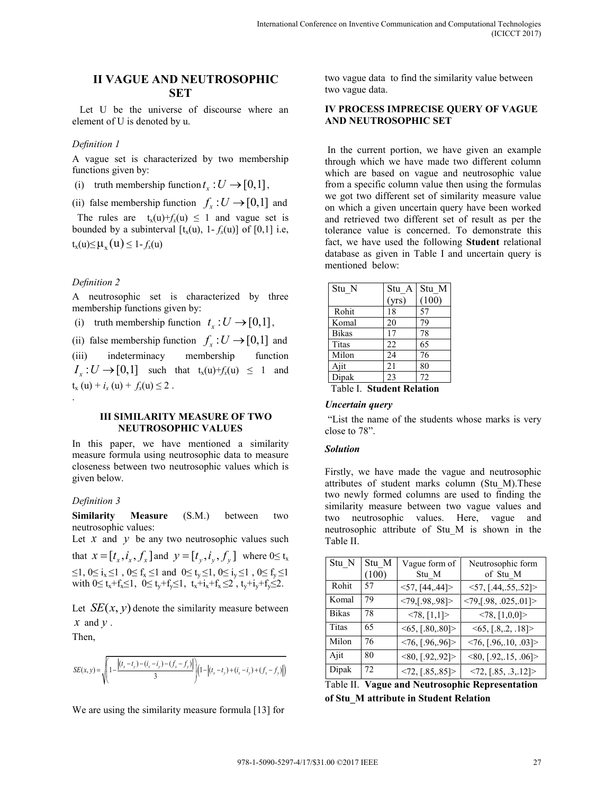## **II VAGUE AND NEUTROSOPHIC SET**

 Let U be the universe of discourse where an element of U is denoted by u.

#### *Definition 1*

A vague set is characterized by two membership functions given by:

(i) truth membership function  $t_x : U \rightarrow [0,1]$ ,

(ii) false membership function  $f_x : U \rightarrow [0,1]$  and

The rules are  $t_x(u) + f_x(u) \le 1$  and vague set is bounded by a subinterval  $[t_x(u), 1-f_x(u)]$  of [0,1] i.e,  $t_x(u) \leq \mu_x(u) \leq 1 - f_x(u)$ 

#### *Definition 2*

A neutrosophic set is characterized by three membership functions given by:

(i) truth membership function  $t_x : U \rightarrow [0,1]$ ,

(ii) false membership function  $f_x: U \rightarrow [0,1]$  and

(iii) indeterminacy membership function  $I_r: U \rightarrow [0,1]$  such that  $t_x(u)+f_x(u) \leq 1$  and  $t_x(u) + i_x(u) + f_x(u) \leq 2$ . .

#### **III SIMILARITY MEASURE OF TWO NEUTROSOPHIC VALUES**

In this paper, we have mentioned a similarity measure formula using neutrosophic data to measure closeness between two neutrosophic values which is given below.

#### *Definition 3*

**Similarity Measure** (S.M.) between two neutrosophic values:

Let  $x$  and  $y$  be any two neutrosophic values such

that  $x = [t_x, i_x, f_x]$  and  $y = [t_y, i_y, f_y]$  where  $0 \le t_x$  $\leq$ 1, 0≤ i<sub>x</sub> ≤1, 0≤ f<sub>x</sub> ≤1 and 0≤ t<sub>y</sub> ≤1, 0≤ i<sub>y</sub> ≤1, 0≤ f<sub>y</sub> ≤1 with  $0 \le t_x + f_x \le 1$ ,  $0 \le t_y + f_y \le 1$ ,  $t_x + i_x + f_x \le 2$ ,  $t_y + i_y + f_y \le 2$ .

Let  $SE(x, y)$  denote the similarity measure between *x* and *y* .

Then,

$$
SE(x, y) = \sqrt{\left(1 - \frac{\left|(t_x - t_y) - (i_x - i_y) - (f_x - f_y)\right|}{3}\right)\left(1 - \left|(t_x - t_y) + (i_x - i_y) + (f_x - f_y)\right|\right)}
$$

We are using the similarity measure formula [13] for

two vague data to find the similarity value between two vague data.

#### **IV PROCESS IMPRECISE QUERY OF VAGUE AND NEUTROSOPHIC SET**

In the current portion, we have given an example through which we have made two different column which are based on vague and neutrosophic value from a specific column value then using the formulas we got two different set of similarity measure value on which a given uncertain query have been worked and retrieved two different set of result as per the tolerance value is concerned. To demonstrate this fact, we have used the following **Student** relational database as given in Table I and uncertain query is mentioned below:

| Stu N                              | Stu A | Stu M |  |
|------------------------------------|-------|-------|--|
|                                    | (yrs) | (100) |  |
| Rohit                              | 18    | 57    |  |
| Komal                              | 20    | 79    |  |
| <b>Bikas</b>                       | 17    | 78    |  |
| Titas                              | 22    | 65    |  |
| Milon                              | 24    | 76    |  |
| Ajit                               | 21    | 80    |  |
| Dipak                              | 23    | 72    |  |
| Table L<br><b>Student Relation</b> |       |       |  |

# *Uncertain query*

"List the name of the students whose marks is very close to 78".

#### *Solution*

Firstly, we have made the vague and neutrosophic attributes of student marks column (Stu\_M).These two newly formed columns are used to finding the similarity measure between two vague values and two neutrosophic values. Here, vague and neutrosophic attribute of Stu\_M is shown in the Table II.

| Stu N        | Stu M<br>100) | Vague form of<br>Stu M                | Neutrosophic form<br>of Stu M         |
|--------------|---------------|---------------------------------------|---------------------------------------|
| Rohit        | 57            | $<$ 57, [44, 44] >                    | 57, [.44, .55, .52]                   |
| Komal        | 79            | $<79$ , [.98, .98]>                   | $<79$ , [.98, .025, .01]>             |
| <b>Bikas</b> | 78            | < 78, [1,1]                           | < 78, [1,0,0]                         |
| <b>Titas</b> | 65            | $\leq 65, \lfloor .80, .80 \rfloor$ > | $\leq 65, [.8, .2, .18]$              |
| Milon        | 76            | $<$ 76, [.96, 96]>                    | $\langle 76, [.96, .10, .03] \rangle$ |
| Ajit         | 80            | $\langle 80, [.92, .92] \rangle$      | $\langle 80, [.92, .15, .06] \rangle$ |
| Dipak        | 72            | $\langle 72, [.85, .85] \rangle$      | $\langle 72, [.85, .3, .12] \rangle$  |

| Table II. Vague and Neutrosophic Representation |
|-------------------------------------------------|
| of Stu M attribute in Student Relation          |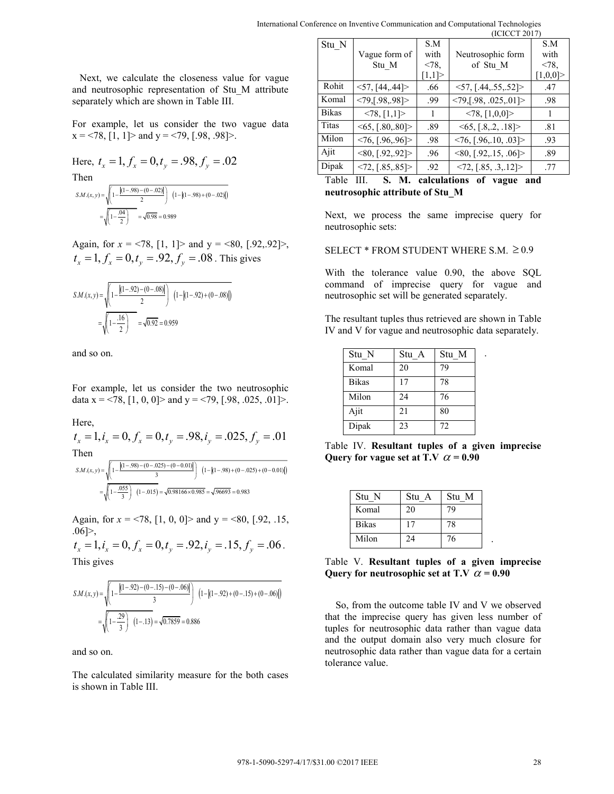Next, we calculate the closeness value for vague and neutrosophic representation of Stu\_M attribute separately which are shown in Table III.

For example, let us consider the two vague data  $x = 78$ , [1, 1]> and  $y = 79$ , [.98, .98]>.

Here, 
$$
t_x = 1
$$
,  $f_x = 0$ ,  $t_y = .98$ ,  $f_y = .02$   
Then  

$$
s_{M,(x,y)=\sqrt{\left[1-\frac{|(1-98)-(0-.02)|}{2}\right] (1-|(1-98)+(0-.02)|)}
$$

$$
=\sqrt{\left[1-\frac{.04}{2}\right]}\sqrt{0.98} = 0.989
$$

Again, for  $x = 78$ , [1, 1]> and  $y = 80$ , [.92, 92]>,  $t_x = 1, f_x = 0, t_y = .92, f_y = .08$ . This gives

$$
S.M.(x, y) = \sqrt{\left(1 - \frac{|(1 - .92) - (0 - .08)|}{2}\right) \left(1 - |(1 - .92) + (0 - .08)|\right)}
$$

$$
= \sqrt{1 - \frac{.16}{2}} = \sqrt{0.92} = 0.959
$$

and so on.

For example, let us consider the two neutrosophic data  $x = 78$ , [1, 0, 0]> and  $y = 79$ , [.98, .025, .01]>.

Here,

 $t_x = 1, i_x = 0, f_x = 0, t_y = .98, i_y = .025, f_y = .01$ Then

$$
SM.(x, y) = \sqrt{\left(1 - \frac{|(1 - 98) - (0 - .025) - (0 - 0.01)|}{3}\right)} \left(1 - |(1 - .98) + (0 - .025) + (0 - 0.01)|\right)
$$

$$
= \sqrt{\left(1 - \frac{.055}{3}\right)} \left(1 - .015\right) = \sqrt{0.98166 \times 0.985} = \sqrt{.96693} = 0.983
$$

Again, for  $x = 78$ , [1, 0, 0] and  $y = 80$ , [.92, .15,] .06 $\geq$ ,

 $t_x = 1, i_y = 0, f_y = 0, t_y = .92, i_y = .15, f_y = .06$ . This gives

$$
SM.(x, y) = \sqrt{\left(1 - \frac{|(1 - .92) - (0 - .15) - (0 - .06)|}{3}\right)} \left(1 - |(1 - .92) + (0 - .15) + (0 - .06)|\right)
$$

$$
= \sqrt{\left(1 - \frac{.29}{3}\right)} \left(1 - .13\right) = \sqrt{0.7859} = 0.886
$$

and so on.

The calculated similarity measure for the both cases is shown in Table III.

|           |              |                                  |       | (ICICCT 2017)                          |             |
|-----------|--------------|----------------------------------|-------|----------------------------------------|-------------|
|           | Stu N        |                                  | S.M   |                                        | S.M         |
|           |              | Vague form of                    | with  | Neutrosophic form                      | with        |
|           |              | Stu M                            | < 78. | of Stu M                               | < 78.       |
| r vague   |              |                                  | [1,1] |                                        | $[1,0,0]$ > |
| attribute | Rohit        | $<$ 57, [44, 44] >               | .66   | 57, [.44, .55, .52]                    | .47         |
|           | Komal        | $<79$ , [.98, .98]>              | .99   | $\langle 79, [.98, .025, .01] \rangle$ | .98         |
|           | <b>Bikas</b> | < 78, [1,1]                      |       | $\langle 78, [1,0,0] \rangle$          |             |
| ue data   | Titas        | <65, [.80, .80]>                 | .89   | $\leq 65, [.8, .2, .18]$               | .81         |
|           | Milon        | $\langle 76, [.96, .96] \rangle$ | .98   | $\langle 76, [.96, .10, .03] \rangle$  | .93         |
|           | Ajit         | $\langle 80, [.92, .92] \rangle$ | .96   | $\langle 80, [.92, .15, .06] \rangle$  | .89         |
|           | Dipak        | $\langle 72, [.85, .85] \rangle$ | .92   | $\langle 72, [.85, .3, .12] \rangle$   | .77         |
|           |              |                                  |       |                                        |             |

Table III. **S. M. calculations of vague and neutrosophic attribute of Stu\_M** 

Next, we process the same imprecise query for neutrosophic sets:

SELECT \* FROM STUDENT WHERE S.M.  $\geq 0.9$ 

With the tolerance value 0.90, the above SQL command of imprecise query for vague and neutrosophic set will be generated separately.

The resultant tuples thus retrieved are shown in Table IV and V for vague and neutrosophic data separately.

.

.

| Stu N | Stu A | Stu M |
|-------|-------|-------|
| Komal | 20    | 79    |
| Bikas | 17    | 78    |
| Milon | 24    | 76    |
| Ajit  | 21    | 80    |
| Dipak | 23    | 72    |

Table IV. **Resultant tuples of a given imprecise**  Query for vague set at T.V  $\alpha$  = 0.90

| Stu N        | Stu A | Stu M |
|--------------|-------|-------|
| Komal        | 20    | 79    |
| <b>Bikas</b> | 17    | 78    |
| Milon        | 24    | 76    |

Table V. **Resultant tuples of a given imprecise Query for neutrosophic set at T.V**  $\alpha$  = 0.90

So, from the outcome table IV and V we observed that the imprecise query has given less number of tuples for neutrosophic data rather than vague data and the output domain also very much closure for neutrosophic data rather than vague data for a certain tolerance value.